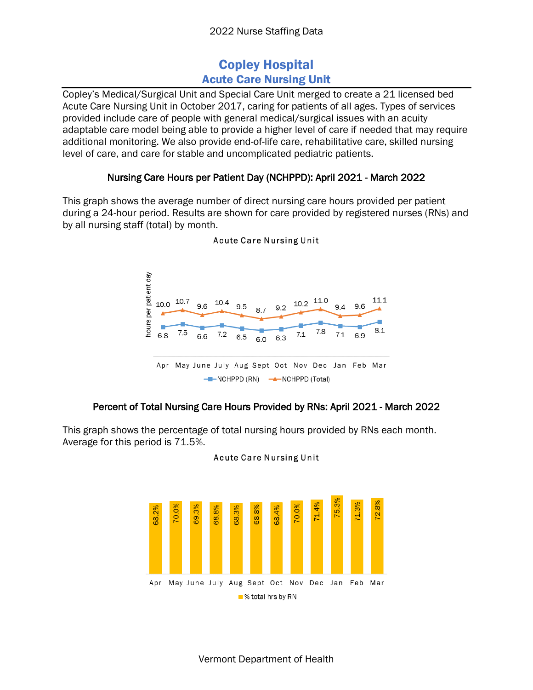# Copley Hospital Acute Care Nursing Unit

Copley's Medical/Surgical Unit and Special Care Unit merged to create a 21 licensed bed Acute Care Nursing Unit in October 2017, caring for patients of all ages. Types of services provided include care of people with general medical/surgical issues with an acuity adaptable care model being able to provide a higher level of care if needed that may require additional monitoring. We also provide end-of-life care, rehabilitative care, skilled nursing level of care, and care for stable and uncomplicated pediatric patients.

## Nursing Care Hours per Patient Day (NCHPPD): April 2021 - March 2022

This graph shows the average number of direct nursing care hours provided per patient during a 24-hour period. Results are shown for care provided by registered nurses (RNs) and by all nursing staff (total) by month.



#### **Acute Care Nursing Unit**

## Percent of Total Nursing Care Hours Provided by RNs: April 2021 - March 2022

This graph shows the percentage of total nursing hours provided by RNs each month. Average for this period is 71.5%.



#### **Acute Care Nursing Unit**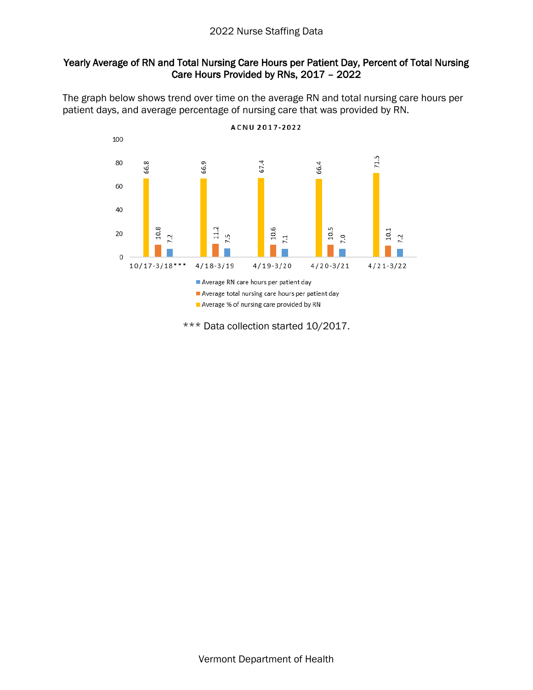## Yearly Average of RN and Total Nursing Care Hours per Patient Day, Percent of Total Nursing Care Hours Provided by RNs, 2017 – 2022

The graph below shows trend over time on the average RN and total nursing care hours per patient days, and average percentage of nursing care that was provided by RN.

ACNU 2017-2022



\*\*\* Data collection started 10/2017.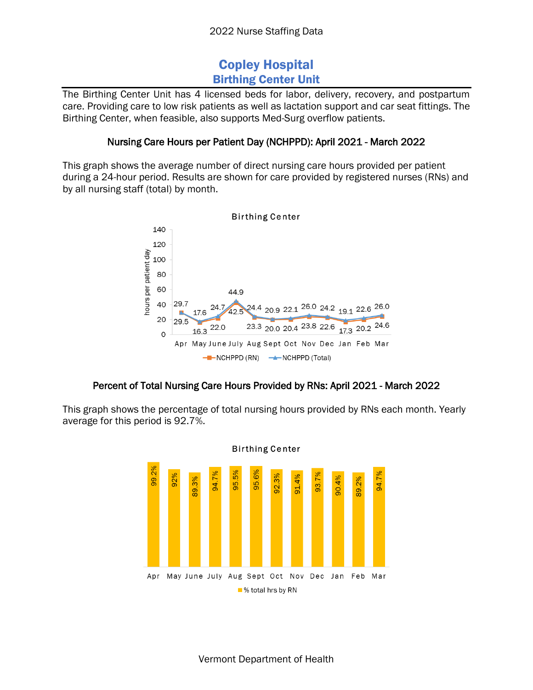## Copley Hospital Birthing Center Unit

The Birthing Center Unit has 4 licensed beds for labor, delivery, recovery, and postpartum care. Providing care to low risk patients as well as lactation support and car seat fittings. The Birthing Center, when feasible, also supports Med-Surg overflow patients.

#### Nursing Care Hours per Patient Day (NCHPPD): April 2021 - March 2022

This graph shows the average number of direct nursing care hours provided per patient during a 24-hour period. Results are shown for care provided by registered nurses (RNs) and by all nursing staff (total) by month.



## Percent of Total Nursing Care Hours Provided by RNs: April 2021 - March 2022

This graph shows the percentage of total nursing hours provided by RNs each month. Yearly average for this period is 92.7%.